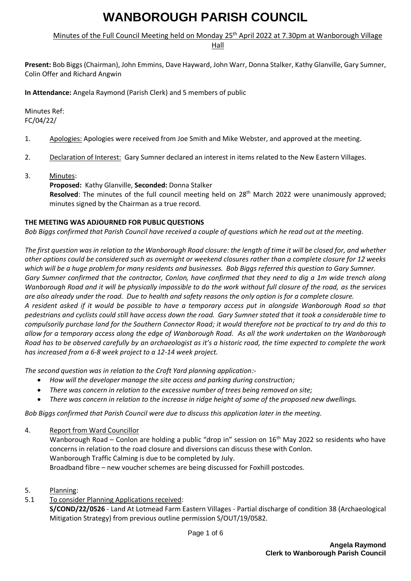# Minutes of the Full Council Meeting held on Monday 25<sup>th</sup> April 2022 at 7.30pm at Wanborough Village

Hall

**Present:** Bob Biggs (Chairman), John Emmins, Dave Hayward, John Warr, Donna Stalker, Kathy Glanville, Gary Sumner, Colin Offer and Richard Angwin

**In Attendance:** Angela Raymond (Parish Clerk) and 5 members of public

Minutes Ref: FC/04/22/

- 1. Apologies: Apologies were received from Joe Smith and Mike Webster, and approved at the meeting.
- 2. Declaration of Interest: Gary Sumner declared an interest in items related to the New Eastern Villages.
- 3. Minutes:

**Proposed:** Kathy Glanville, **Seconded:** Donna Stalker Resolved: The minutes of the full council meeting held on 28<sup>th</sup> March 2022 were unanimously approved; minutes signed by the Chairman as a true record.

#### **THE MEETING WAS ADJOURNED FOR PUBLIC QUESTIONS**

*Bob Biggs confirmed that Parish Council have received a couple of questions which he read out at the meeting.*

*The first question was in relation to the Wanborough Road closure: the length of time it will be closed for, and whether other options could be considered such as overnight or weekend closures rather than a complete closure for 12 weeks which will be a huge problem for many residents and businesses. Bob Biggs referred this question to Gary Sumner. Gary Sumner confirmed that the contractor, Conlon, have confirmed that they need to dig a 1m wide trench along Wanborough Road and it will be physically impossible to do the work without full closure of the road, as the services are also already under the road. Due to health and safety reasons the only option is for a complete closure. A resident asked if it would be possible to have a temporary access put in alongside Wanborough Road so that pedestrians and cyclists could still have access down the road. Gary Sumner stated that it took a considerable time to compulsorily purchase land for the Southern Connector Road; it would therefore not be practical to try and do this to allow for a temporary access along the edge of Wanborough Road. As all the work undertaken on the Wanborough Road has to be observed carefully by an archaeologist as it's a historic road, the time expected to complete the work* 

*has increased from a 6-8 week project to a 12-14 week project.*

*The second question was in relation to the Croft Yard planning application:-*

- *How will the developer manage the site access and parking during construction;*
- *There was concern in relation to the excessive number of trees being removed on site;*
- *There was concern in relation to the increase in ridge height of some of the proposed new dwellings.*

*Bob Biggs confirmed that Parish Council were due to discuss this application later in the meeting.*

4. Report from Ward Councillor

Wanborough Road – Conlon are holding a public "drop in" session on 16<sup>th</sup> May 2022 so residents who have concerns in relation to the road closure and diversions can discuss these with Conlon. Wanborough Traffic Calming is due to be completed by July. Broadband fibre – new voucher schemes are being discussed for Foxhill postcodes.

- 5. Planning:
- 5.1 To consider Planning Applications received:

**S/COND/22/0526** - Land At Lotmead Farm Eastern Villages - Partial discharge of condition 38 (Archaeological Mitigation Strategy) from previous outline permission S/OUT/19/0582.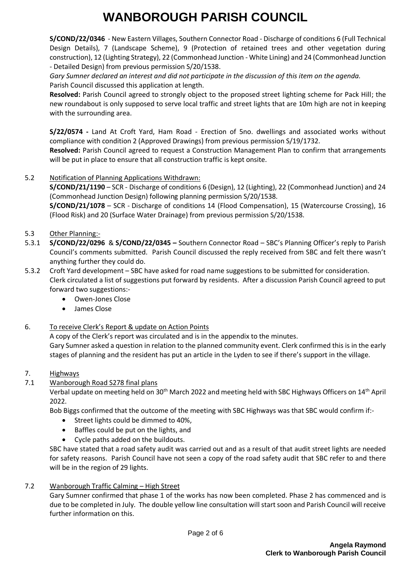**S/COND/22/0346** - New Eastern Villages, Southern Connector Road - Discharge of conditions 6 (Full Technical Design Details), 7 (Landscape Scheme), 9 (Protection of retained trees and other vegetation during construction), 12 (Lighting Strategy), 22 (Commonhead Junction - White Lining) and 24 (Commonhead Junction - Detailed Design) from previous permission S/20/1538.

*Gary Sumner declared an interest and did not participate in the discussion of this item on the agenda.* Parish Council discussed this application at length.

**Resolved:** Parish Council agreed to strongly object to the proposed street lighting scheme for Pack Hill; the new roundabout is only supposed to serve local traffic and street lights that are 10m high are not in keeping with the surrounding area.

**S/22/0574 -** Land At Croft Yard, Ham Road - Erection of 5no. dwellings and associated works without compliance with condition 2 (Approved Drawings) from previous permission S/19/1732. **Resolved:** Parish Council agreed to request a Construction Management Plan to confirm that arrangements

will be put in place to ensure that all construction traffic is kept onsite.

## 5.2 Notification of Planning Applications Withdrawn:

**S/COND/21/1190** – SCR - Discharge of conditions 6 (Design), 12 (Lighting), 22 (Commonhead Junction) and 24 (Commonhead Junction Design) following planning permission S/20/1538.

**S/COND/21/1078** – SCR - Discharge of conditions 14 (Flood Compensation), 15 (Watercourse Crossing), 16 (Flood Risk) and 20 (Surface Water Drainage) from previous permission S/20/1538.

### 5.3 Other Planning:-

- 5.3.1 **S/COND/22/0296** & **S/COND/22/0345 –** Southern Connector Road SBC's Planning Officer's reply to Parish Council's comments submitted. Parish Council discussed the reply received from SBC and felt there wasn't anything further they could do.
- 5.3.2 Croft Yard development SBC have asked for road name suggestions to be submitted for consideration. Clerk circulated a list of suggestions put forward by residents. After a discussion Parish Council agreed to put forward two suggestions:-
	- Owen-Jones Close
	- James Close

### 6. To receive Clerk's Report & update on Action Points

A copy of the Clerk's report was circulated and is in the appendix to the minutes.

Gary Sumner asked a question in relation to the planned community event. Clerk confirmed this is in the early stages of planning and the resident has put an article in the Lyden to see if there's support in the village.

### 7. Highways

### 7.1 Wanborough Road S278 final plans

Verbal update on meeting held on 30<sup>th</sup> March 2022 and meeting held with SBC Highways Officers on 14<sup>th</sup> April 2022.

Bob Biggs confirmed that the outcome of the meeting with SBC Highways was that SBC would confirm if:-

- Street lights could be dimmed to 40%,
- Baffles could be put on the lights, and
- Cycle paths added on the buildouts.

SBC have stated that a road safety audit was carried out and as a result of that audit street lights are needed for safety reasons. Parish Council have not seen a copy of the road safety audit that SBC refer to and there will be in the region of 29 lights.

7.2 Wanborough Traffic Calming – High Street

Gary Sumner confirmed that phase 1 of the works has now been completed. Phase 2 has commenced and is due to be completed in July. The double yellow line consultation will start soon and Parish Council will receive further information on this.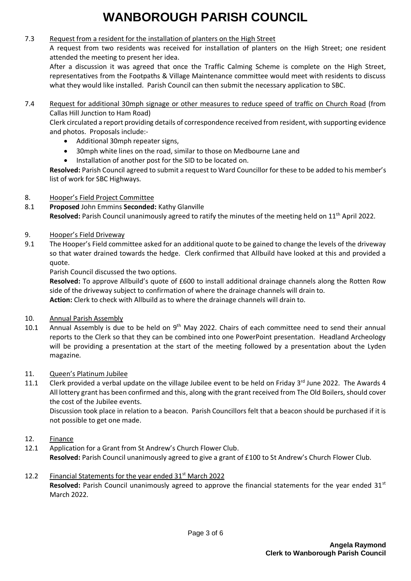#### 7.3 Request from a resident for the installation of planters on the High Street

A request from two residents was received for installation of planters on the High Street; one resident attended the meeting to present her idea.

After a discussion it was agreed that once the Traffic Calming Scheme is complete on the High Street, representatives from the Footpaths & Village Maintenance committee would meet with residents to discuss what they would like installed. Parish Council can then submit the necessary application to SBC.

7.4 Request for additional 30mph signage or other measures to reduce speed of traffic on Church Road (from Callas Hill Junction to Ham Road)

Clerk circulated a report providing details of correspondence received from resident, with supporting evidence and photos. Proposals include:-

- Additional 30mph repeater signs,
- 30mph white lines on the road, similar to those on Medbourne Lane and
- Installation of another post for the SID to be located on.

**Resolved:** Parish Council agreed to submit a request to Ward Councillor for these to be added to his member's list of work for SBC Highways.

## 8. Hooper's Field Project Committee

- 8.1 **Proposed** John Emmins **Seconded:** Kathy Glanville **Resolved:** Parish Council unanimously agreed to ratify the minutes of the meeting held on 11<sup>th</sup> April 2022.
- 9. Hooper's Field Driveway
- 9.1 The Hooper's Field committee asked for an additional quote to be gained to change the levels of the driveway so that water drained towards the hedge. Clerk confirmed that Allbuild have looked at this and provided a quote.

Parish Council discussed the two options.

**Resolved:** To approve Allbuild's quote of £600 to install additional drainage channels along the Rotten Row side of the driveway subject to confirmation of where the drainage channels will drain to. **Action:** Clerk to check with Allbuild as to where the drainage channels will drain to.

### 10. Annual Parish Assembly

10.1 Annual Assembly is due to be held on  $9<sup>th</sup>$  May 2022. Chairs of each committee need to send their annual reports to the Clerk so that they can be combined into one PowerPoint presentation. Headland Archeology will be providing a presentation at the start of the meeting followed by a presentation about the Lyden magazine.

### 11. Queen's Platinum Jubilee

11.1 Clerk provided a verbal update on the village Jubilee event to be held on Friday  $3<sup>rd</sup>$  June 2022. The Awards 4 All lottery grant has been confirmed and this, along with the grant received from The Old Boilers, should cover the cost of the Jubilee events.

Discussion took place in relation to a beacon. Parish Councillors felt that a beacon should be purchased if it is not possible to get one made.

- 12. Finance
- 12.1 Application for a Grant from St Andrew's Church Flower Club. **Resolved:** Parish Council unanimously agreed to give a grant of £100 to St Andrew's Church Flower Club.
- 12.2 Financial Statements for the year ended 31<sup>st</sup> March 2022 **Resolved:** Parish Council unanimously agreed to approve the financial statements for the year ended 31st March 2022.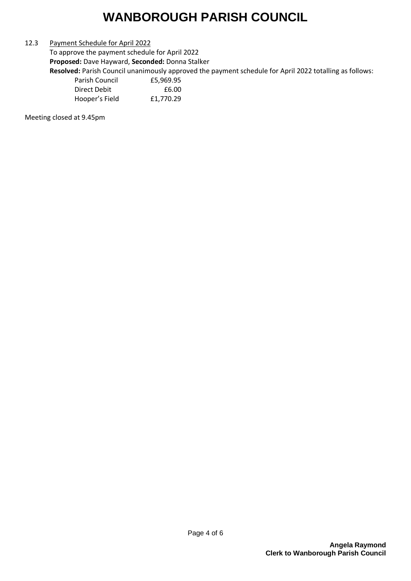#### 12.3 Payment Schedule for April 2022

To approve the payment schedule for April 2022 **Proposed:** Dave Hayward, **Seconded:** Donna Stalker

**Resolved:** Parish Council unanimously approved the payment schedule for April 2022 totalling as follows:

| Parish Council | £5,969.95 |
|----------------|-----------|
| Direct Debit   | £6.00     |
| Hooper's Field | £1,770.29 |

Meeting closed at 9.45pm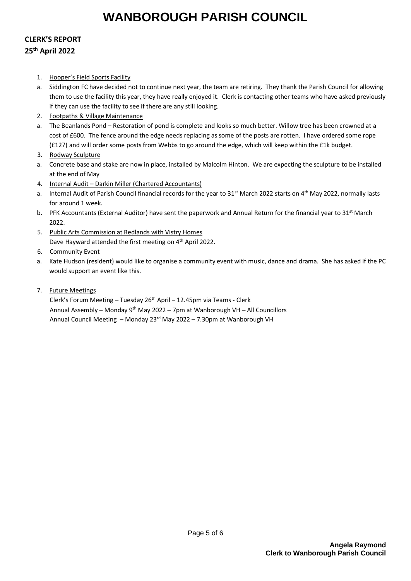# **CLERK'S REPORT 25th April 2022**

- 1. Hooper's Field Sports Facility
- a. Siddington FC have decided not to continue next year, the team are retiring. They thank the Parish Council for allowing them to use the facility this year, they have really enjoyed it. Clerk is contacting other teams who have asked previously if they can use the facility to see if there are any still looking.
- 2. Footpaths & Village Maintenance
- a. The Beanlands Pond Restoration of pond is complete and looks so much better. Willow tree has been crowned at a cost of £600. The fence around the edge needs replacing as some of the posts are rotten. I have ordered some rope (£127) and will order some posts from Webbs to go around the edge, which will keep within the £1k budget.
- 3. Rodway Sculpture
- a. Concrete base and stake are now in place, installed by Malcolm Hinton. We are expecting the sculpture to be installed at the end of May
- 4. Internal Audit Darkin Miller (Chartered Accountants)
- a. Internal Audit of Parish Council financial records for the year to  $31^{st}$  March 2022 starts on  $4^{th}$  May 2022, normally lasts for around 1 week.
- b. PFK Accountants (External Auditor) have sent the paperwork and Annual Return for the financial year to  $31^{st}$  March 2022.
- 5. Public Arts Commission at Redlands with Vistry Homes Dave Hayward attended the first meeting on 4<sup>th</sup> April 2022.
- 6. Community Event
- a. Kate Hudson (resident) would like to organise a community event with music, dance and drama. She has asked if the PC would support an event like this.
- 7. Future Meetings

Clerk's Forum Meeting – Tuesday  $26<sup>th</sup>$  April – 12.45pm via Teams - Clerk Annual Assembly – Monday 9th May 2022 – 7pm at Wanborough VH – All Councillors Annual Council Meeting – Monday 23rd May 2022 – 7.30pm at Wanborough VH